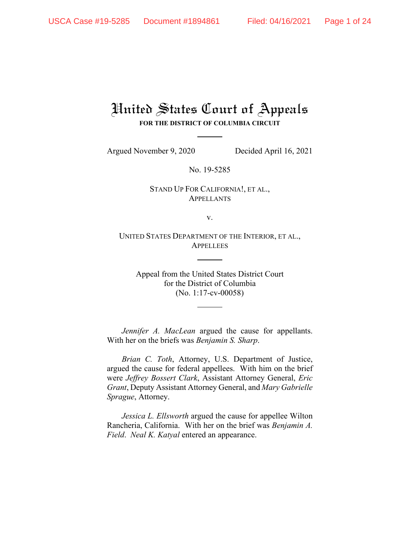# United States Court of Appeals **FOR THE DISTRICT OF COLUMBIA CIRCUIT**

Argued November 9, 2020 Decided April 16, 2021

No. 19-5285

STAND UP FOR CALIFORNIA!, ET AL., APPELLANTS

v.

UNITED STATES DEPARTMENT OF THE INTERIOR, ET AL., APPELLEES

Appeal from the United States District Court for the District of Columbia (No. 1:17-cv-00058)

*Jennifer A. MacLean* argued the cause for appellants. With her on the briefs was *Benjamin S. Sharp*.

*Brian C. Toth*, Attorney, U.S. Department of Justice, argued the cause for federal appellees. With him on the brief were *Jeffrey Bossert Clark*, Assistant Attorney General, *Eric Grant*, Deputy Assistant Attorney General, and *Mary Gabrielle Sprague*, Attorney.

*Jessica L. Ellsworth* argued the cause for appellee Wilton Rancheria, California. With her on the brief was *Benjamin A. Field*. *Neal K. Katyal* entered an appearance.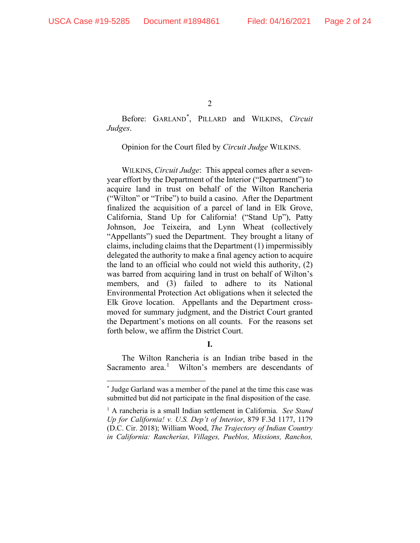Before: GARLAND[\\*](#page-1-0) , PILLARD and WILKINS, *Circuit Judges*.

Opinion for the Court filed by *Circuit Judge* WILKINS.

WILKINS, *Circuit Judge*: This appeal comes after a sevenyear effort by the Department of the Interior ("Department") to acquire land in trust on behalf of the Wilton Rancheria ("Wilton" or "Tribe") to build a casino. After the Department finalized the acquisition of a parcel of land in Elk Grove, California, Stand Up for California! ("Stand Up"), Patty Johnson, Joe Teixeira, and Lynn Wheat (collectively "Appellants") sued the Department. They brought a litany of claims, including claims that the Department (1) impermissibly delegated the authority to make a final agency action to acquire the land to an official who could not wield this authority, (2) was barred from acquiring land in trust on behalf of Wilton's members, and (3) failed to adhere to its National Environmental Protection Act obligations when it selected the Elk Grove location. Appellants and the Department crossmoved for summary judgment, and the District Court granted the Department's motions on all counts. For the reasons set forth below, we affirm the District Court.

**I.**

The Wilton Rancheria is an Indian tribe based in the Sacramento area.<sup>[1](#page-1-1)</sup> Wilton's members are descendants of

<span id="page-1-0"></span>**<sup>\*</sup>** Judge Garland was a member of the panel at the time this case was submitted but did not participate in the final disposition of the case.

<span id="page-1-1"></span><sup>1</sup> A rancheria is a small Indian settlement in California. *See Stand Up for California! v. U.S. Dep't of Interior*, 879 F.3d 1177, 1179 (D.C. Cir. 2018); William Wood, *The Trajectory of Indian Country in California: Rancherías, Villages, Pueblos, Missions, Ranchos,*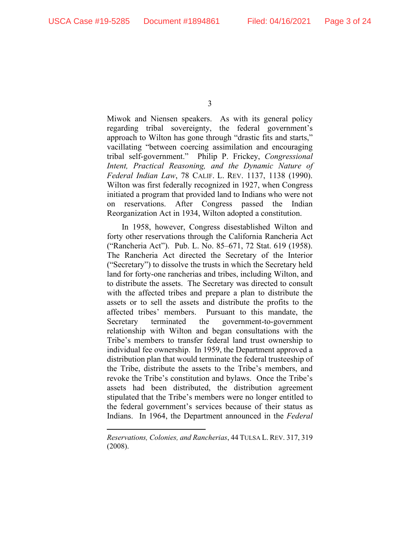Miwok and Niensen speakers. As with its general policy regarding tribal sovereignty, the federal government's approach to Wilton has gone through "drastic fits and starts," vacillating "between coercing assimilation and encouraging tribal self-government." Philip P. Frickey, *Congressional Intent, Practical Reasoning, and the Dynamic Nature of Federal Indian Law*, 78 CALIF. L. REV. 1137, 1138 (1990). Wilton was first federally recognized in 1927, when Congress initiated a program that provided land to Indians who were not on reservations. After Congress passed the Indian Reorganization Act in 1934, Wilton adopted a constitution.

In 1958, however, Congress disestablished Wilton and forty other reservations through the California Rancheria Act ("Rancheria Act"). Pub. L. No. 85–671, 72 Stat. 619 (1958). The Rancheria Act directed the Secretary of the Interior ("Secretary") to dissolve the trusts in which the Secretary held land for forty-one rancherias and tribes, including Wilton, and to distribute the assets. The Secretary was directed to consult with the affected tribes and prepare a plan to distribute the assets or to sell the assets and distribute the profits to the affected tribes' members. Pursuant to this mandate, the Secretary terminated the government-to-government relationship with Wilton and began consultations with the Tribe's members to transfer federal land trust ownership to individual fee ownership. In 1959, the Department approved a distribution plan that would terminate the federal trusteeship of the Tribe, distribute the assets to the Tribe's members, and revoke the Tribe's constitution and bylaws. Once the Tribe's assets had been distributed, the distribution agreement stipulated that the Tribe's members were no longer entitled to the federal government's services because of their status as Indians. In 1964, the Department announced in the *Federal* 

*Reservations, Colonies, and Rancherias*, 44 TULSA L. REV. 317, 319 (2008).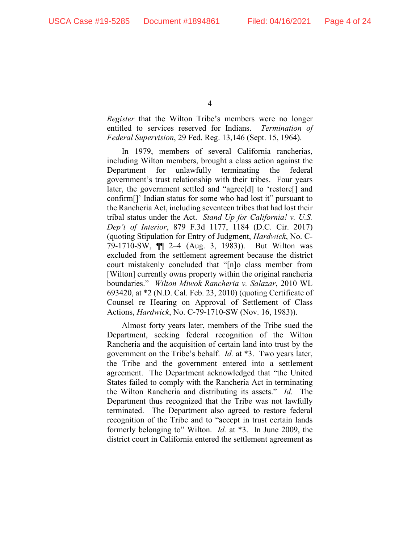*Register* that the Wilton Tribe's members were no longer entitled to services reserved for Indians. *Termination of Federal Supervision*, 29 Fed. Reg. 13,146 (Sept. 15, 1964).

In 1979, members of several California rancherias, including Wilton members, brought a class action against the Department for unlawfully terminating the federal government's trust relationship with their tribes. Four years later, the government settled and "agree[d] to 'restore[] and confirm[]' Indian status for some who had lost it" pursuant to the Rancheria Act, including seventeen tribes that had lost their tribal status under the Act. *Stand Up for California! v. U.S. Dep't of Interior*, 879 F.3d 1177, 1184 (D.C. Cir. 2017) (quoting Stipulation for Entry of Judgment, *Hardwick*, No. C-79-1710-SW, ¶¶ 2–4 (Aug. 3, 1983)). But Wilton was excluded from the settlement agreement because the district court mistakenly concluded that "[n]o class member from [Wilton] currently owns property within the original rancheria boundaries." *Wilton Miwok Rancheria v. Salazar*, 2010 WL 693420, at \*2 (N.D. Cal. Feb. 23, 2010) (quoting Certificate of Counsel re Hearing on Approval of Settlement of Class Actions, *Hardwick*, No. C-79-1710-SW (Nov. 16, 1983)).

Almost forty years later, members of the Tribe sued the Department, seeking federal recognition of the Wilton Rancheria and the acquisition of certain land into trust by the government on the Tribe's behalf. *Id.* at \*3. Two years later, the Tribe and the government entered into a settlement agreement. The Department acknowledged that "the United States failed to comply with the Rancheria Act in terminating the Wilton Rancheria and distributing its assets." *Id.* The Department thus recognized that the Tribe was not lawfully terminated. The Department also agreed to restore federal recognition of the Tribe and to "accept in trust certain lands formerly belonging to" Wilton. *Id.* at \*3. In June 2009, the district court in California entered the settlement agreement as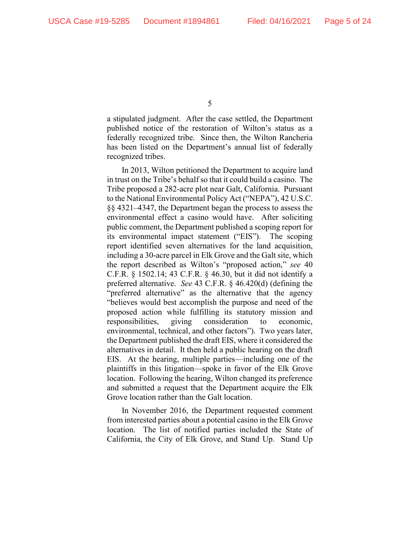a stipulated judgment. After the case settled, the Department published notice of the restoration of Wilton's status as a federally recognized tribe. Since then, the Wilton Rancheria has been listed on the Department's annual list of federally recognized tribes.

In 2013, Wilton petitioned the Department to acquire land in trust on the Tribe's behalf so that it could build a casino. The Tribe proposed a 282-acre plot near Galt, California. Pursuant to the National Environmental Policy Act ("NEPA"), 42 U.S.C. §§ 4321–4347, the Department began the process to assess the environmental effect a casino would have. After soliciting public comment, the Department published a scoping report for its environmental impact statement ("EIS"). The scoping report identified seven alternatives for the land acquisition, including a 30-acre parcel in Elk Grove and the Galt site, which the report described as Wilton's "proposed action," *see* 40 C.F.R. § 1502.14; 43 C.F.R. § 46.30, but it did not identify a preferred alternative. *See* 43 C.F.R. § 46.420(d) (defining the "preferred alternative" as the alternative that the agency "believes would best accomplish the purpose and need of the proposed action while fulfilling its statutory mission and responsibilities, giving consideration to economic, environmental, technical, and other factors"). Two years later, the Department published the draft EIS, where it considered the alternatives in detail. It then held a public hearing on the draft EIS. At the hearing, multiple parties—including one of the plaintiffs in this litigation—spoke in favor of the Elk Grove location. Following the hearing, Wilton changed its preference and submitted a request that the Department acquire the Elk Grove location rather than the Galt location.

In November 2016, the Department requested comment from interested parties about a potential casino in the Elk Grove location. The list of notified parties included the State of California, the City of Elk Grove, and Stand Up. Stand Up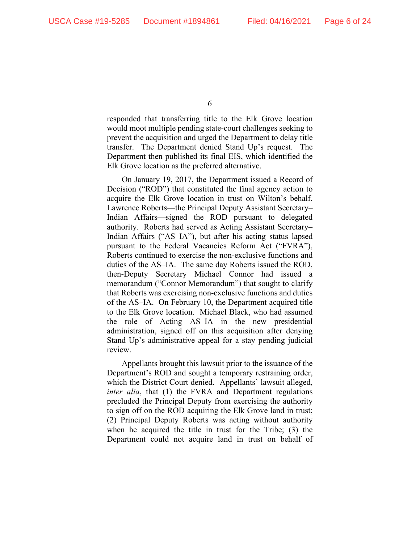responded that transferring title to the Elk Grove location would moot multiple pending state-court challenges seeking to prevent the acquisition and urged the Department to delay title transfer. The Department denied Stand Up's request. The Department then published its final EIS, which identified the Elk Grove location as the preferred alternative.

On January 19, 2017, the Department issued a Record of Decision ("ROD") that constituted the final agency action to acquire the Elk Grove location in trust on Wilton's behalf. Lawrence Roberts—the Principal Deputy Assistant Secretary– Indian Affairs—signed the ROD pursuant to delegated authority. Roberts had served as Acting Assistant Secretary– Indian Affairs ("AS–IA"), but after his acting status lapsed pursuant to the Federal Vacancies Reform Act ("FVRA"), Roberts continued to exercise the non-exclusive functions and duties of the AS–IA. The same day Roberts issued the ROD, then-Deputy Secretary Michael Connor had issued a memorandum ("Connor Memorandum") that sought to clarify that Roberts was exercising non-exclusive functions and duties of the AS–IA. On February 10, the Department acquired title to the Elk Grove location. Michael Black, who had assumed the role of Acting AS–IA in the new presidential administration, signed off on this acquisition after denying Stand Up's administrative appeal for a stay pending judicial review.

Appellants brought this lawsuit prior to the issuance of the Department's ROD and sought a temporary restraining order, which the District Court denied. Appellants' lawsuit alleged, *inter alia*, that (1) the FVRA and Department regulations precluded the Principal Deputy from exercising the authority to sign off on the ROD acquiring the Elk Grove land in trust; (2) Principal Deputy Roberts was acting without authority when he acquired the title in trust for the Tribe; (3) the Department could not acquire land in trust on behalf of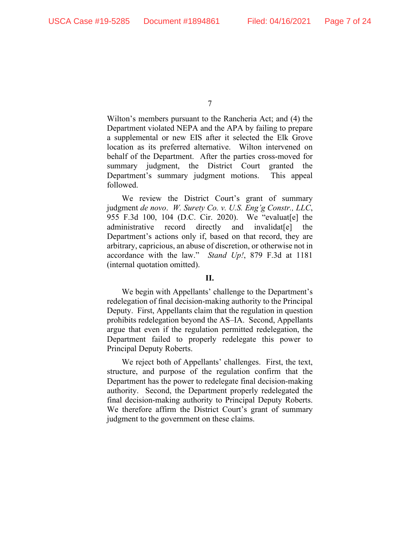Wilton's members pursuant to the Rancheria Act; and (4) the Department violated NEPA and the APA by failing to prepare a supplemental or new EIS after it selected the Elk Grove location as its preferred alternative. Wilton intervened on behalf of the Department. After the parties cross-moved for summary judgment, the District Court granted the Department's summary judgment motions. This appeal followed.

We review the District Court's grant of summary judgment *de novo*. *W. Surety Co. v. U.S. Eng'g Constr., LLC*, 955 F.3d 100, 104 (D.C. Cir. 2020). We "evaluat[e] the administrative record directly and invalidat[e] the Department's actions only if, based on that record, they are arbitrary, capricious, an abuse of discretion, or otherwise not in accordance with the law." *Stand Up!*, 879 F.3d at 1181 (internal quotation omitted).

## **II.**

We begin with Appellants' challenge to the Department's redelegation of final decision-making authority to the Principal Deputy. First, Appellants claim that the regulation in question prohibits redelegation beyond the AS–IA. Second, Appellants argue that even if the regulation permitted redelegation, the Department failed to properly redelegate this power to Principal Deputy Roberts.

We reject both of Appellants' challenges. First, the text, structure, and purpose of the regulation confirm that the Department has the power to redelegate final decision-making authority. Second, the Department properly redelegated the final decision-making authority to Principal Deputy Roberts. We therefore affirm the District Court's grant of summary judgment to the government on these claims.

<sup>7</sup>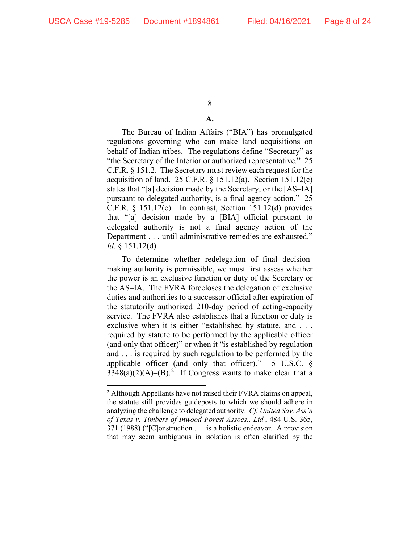## **A.**

The Bureau of Indian Affairs ("BIA") has promulgated regulations governing who can make land acquisitions on behalf of Indian tribes. The regulations define "Secretary" as "the Secretary of the Interior or authorized representative." 25 C.F.R. § 151.2. The Secretary must review each request for the acquisition of land. 25 C.F.R.  $\S$  151.12(a). Section 151.12(c) states that "[a] decision made by the Secretary, or the [AS–IA] pursuant to delegated authority, is a final agency action." 25 C.F.R. § 151.12(c). In contrast, Section 151.12(d) provides that "[a] decision made by a [BIA] official pursuant to delegated authority is not a final agency action of the Department . . . until administrative remedies are exhausted." *Id.* § 151.12(d).

To determine whether redelegation of final decisionmaking authority is permissible, we must first assess whether the power is an exclusive function or duty of the Secretary or the AS–IA. The FVRA forecloses the delegation of exclusive duties and authorities to a successor official after expiration of the statutorily authorized 210-day period of acting-capacity service. The FVRA also establishes that a function or duty is exclusive when it is either "established by statute, and . . . required by statute to be performed by the applicable officer (and only that officer)" or when it "is established by regulation and . . . is required by such regulation to be performed by the applicable officer (and only that officer)." 5 U.S.C. §  $3348(a)(2)(A)$  $3348(a)(2)(A)$  $3348(a)(2)(A)$ –(B).<sup>2</sup> If Congress wants to make clear that a

<span id="page-7-0"></span><sup>&</sup>lt;sup>2</sup> Although Appellants have not raised their FVRA claims on appeal, the statute still provides guideposts to which we should adhere in analyzing the challenge to delegated authority. *Cf. United Sav. Ass'n of Texas v. Timbers of Inwood Forest Assocs., Ltd.*, 484 U.S. 365, 371 (1988) ("[C]onstruction . . . is a holistic endeavor. A provision that may seem ambiguous in isolation is often clarified by the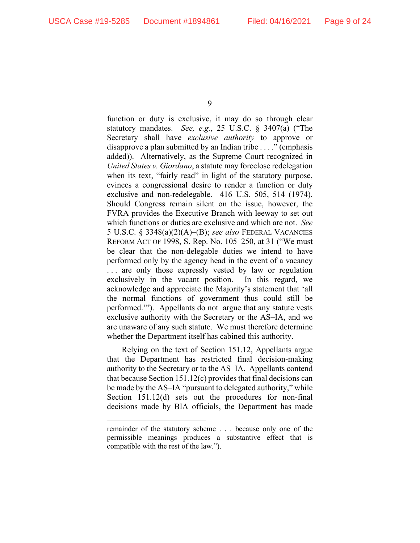function or duty is exclusive, it may do so through clear statutory mandates. *See, e.g.*, 25 U.S.C. § 3407(a) ("The Secretary shall have *exclusive authority* to approve or disapprove a plan submitted by an Indian tribe . . . ." (emphasis added)). Alternatively, as the Supreme Court recognized in *United States v. Giordano*, a statute may foreclose redelegation when its text, "fairly read" in light of the statutory purpose, evinces a congressional desire to render a function or duty exclusive and non-redelegable. 416 U.S. 505, 514 (1974). Should Congress remain silent on the issue, however, the FVRA provides the Executive Branch with leeway to set out which functions or duties are exclusive and which are not. *See*  5 U.S.C. § 3348(a)(2)(A)–(B); *see also* FEDERAL VACANCIES REFORM ACT OF 1998, S. Rep. No. 105–250, at 31 ("We must be clear that the non-delegable duties we intend to have performed only by the agency head in the event of a vacancy ... are only those expressly vested by law or regulation exclusively in the vacant position. In this regard, we acknowledge and appreciate the Majority's statement that 'all the normal functions of government thus could still be performed.'"). Appellants do not argue that any statute vests exclusive authority with the Secretary or the AS–IA, and we are unaware of any such statute. We must therefore determine whether the Department itself has cabined this authority.

Relying on the text of Section 151.12, Appellants argue that the Department has restricted final decision-making authority to the Secretary or to the AS–IA. Appellants contend that because Section 151.12(c) provides that final decisions can be made by the AS–IA "pursuant to delegated authority," while Section 151.12(d) sets out the procedures for non-final decisions made by BIA officials, the Department has made

remainder of the statutory scheme . . . because only one of the permissible meanings produces a substantive effect that is compatible with the rest of the law.").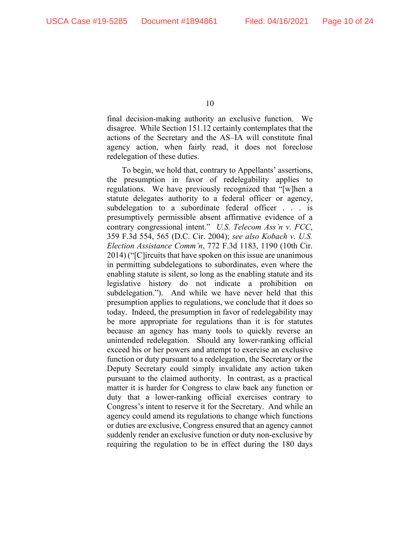final decision-making authority an exclusive function. We disagree. While Section 151.12 certainly contemplates that the actions of the Secretary and the AS–IA will constitute final agency action, when fairly read, it does not foreclose redelegation of these duties.

To begin, we hold that, contrary to Appellants' assertions, the presumption in favor of redelegability applies to regulations. We have previously recognized that "[w]hen a statute delegates authority to a federal officer or agency, subdelegation to a subordinate federal officer . . . is presumptively permissible absent affirmative evidence of a contrary congressional intent." *U.S. Telecom Ass'n v. FCC*, 359 F.3d 554, 565 (D.C. Cir. 2004); *see also Kobach v. U.S. Election Assistance Comm'n*, 772 F.3d 1183, 1190 (10th Cir. 2014) ("[C]ircuits that have spoken on this issue are unanimous in permitting subdelegations to subordinates, even where the enabling statute is silent, so long as the enabling statute and its legislative history do not indicate a prohibition on subdelegation."). And while we have never held that this presumption applies to regulations, we conclude that it does so today. Indeed, the presumption in favor of redelegability may be more appropriate for regulations than it is for statutes because an agency has many tools to quickly reverse an unintended redelegation. Should any lower-ranking official exceed his or her powers and attempt to exercise an exclusive function or duty pursuant to a redelegation, the Secretary or the Deputy Secretary could simply invalidate any action taken pursuant to the claimed authority. In contrast, as a practical matter it is harder for Congress to claw back any function or duty that a lower-ranking official exercises contrary to Congress's intent to reserve it for the Secretary. And while an agency could amend its regulations to change which functions or duties are exclusive, Congress ensured that an agency cannot suddenly render an exclusive function or duty non-exclusive by requiring the regulation to be in effect during the 180 days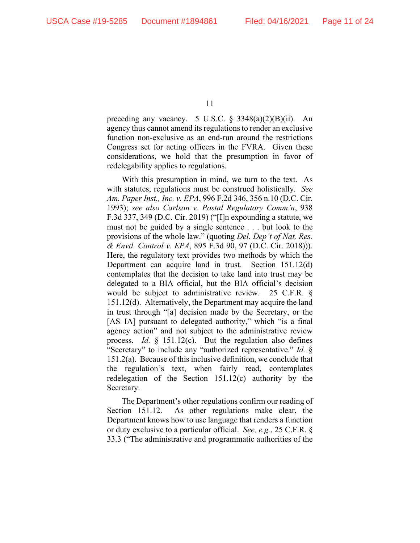preceding any vacancy. 5 U.S.C. § 3348(a)(2)(B)(ii). An agency thus cannot amend its regulations to render an exclusive function non-exclusive as an end-run around the restrictions Congress set for acting officers in the FVRA. Given these considerations, we hold that the presumption in favor of redelegability applies to regulations.

With this presumption in mind, we turn to the text. As with statutes, regulations must be construed holistically. *See Am. Paper Inst., Inc. v. EPA*, 996 F.2d 346, 356 n.10 (D.C. Cir. 1993); *see also Carlson v. Postal Regulatory Comm'n*, 938 F.3d 337, 349 (D.C. Cir. 2019) ("[I]n expounding a statute, we must not be guided by a single sentence . . . but look to the provisions of the whole law." (quoting *Del. Dep't of Nat. Res. & Envtl. Control v. EPA*, 895 F.3d 90, 97 (D.C. Cir. 2018))). Here, the regulatory text provides two methods by which the Department can acquire land in trust. Section 151.12(d) contemplates that the decision to take land into trust may be delegated to a BIA official, but the BIA official's decision would be subject to administrative review. 25 C.F.R. § 151.12(d). Alternatively, the Department may acquire the land in trust through "[a] decision made by the Secretary, or the [AS–IA] pursuant to delegated authority," which "is a final agency action" and not subject to the administrative review process. *Id.* § 151.12(c). But the regulation also defines "Secretary" to include any "authorized representative." *Id.* § 151.2(a). Because of this inclusive definition, we conclude that the regulation's text, when fairly read, contemplates redelegation of the Section 151.12(c) authority by the Secretary.

The Department's other regulations confirm our reading of Section 151.12. As other regulations make clear, the Department knows how to use language that renders a function or duty exclusive to a particular official. *See, e.g.*, 25 C.F.R. § 33.3 ("The administrative and programmatic authorities of the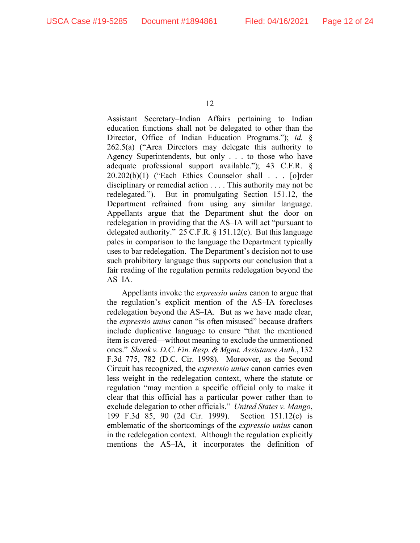Assistant Secretary–Indian Affairs pertaining to Indian education functions shall not be delegated to other than the Director, Office of Indian Education Programs."); *id.* § 262.5(a) ("Area Directors may delegate this authority to Agency Superintendents, but only . . . to those who have adequate professional support available."); 43 C.F.R. § 20.202(b)(1) ("Each Ethics Counselor shall . . . [o]rder disciplinary or remedial action . . . . This authority may not be redelegated."). But in promulgating Section 151.12, the Department refrained from using any similar language. Appellants argue that the Department shut the door on redelegation in providing that the AS–IA will act "pursuant to delegated authority." 25 C.F.R. § 151.12(c). But this language pales in comparison to the language the Department typically uses to bar redelegation. The Department's decision not to use such prohibitory language thus supports our conclusion that a fair reading of the regulation permits redelegation beyond the AS–IA.

Appellants invoke the *expressio unius* canon to argue that the regulation's explicit mention of the AS–IA forecloses redelegation beyond the AS–IA. But as we have made clear, the *expressio unius* canon "is often misused" because drafters include duplicative language to ensure "that the mentioned item is covered—without meaning to exclude the unmentioned ones." *Shook v. D.C. Fin. Resp. & Mgmt. Assistance Auth.*, 132 F.3d 775, 782 (D.C. Cir. 1998). Moreover, as the Second Circuit has recognized, the *expressio unius* canon carries even less weight in the redelegation context, where the statute or regulation "may mention a specific official only to make it clear that this official has a particular power rather than to exclude delegation to other officials." *United States v. Mango*, 199 F.3d 85, 90 (2d Cir. 1999). Section 151.12(c) is emblematic of the shortcomings of the *expressio unius* canon in the redelegation context. Although the regulation explicitly mentions the AS–IA, it incorporates the definition of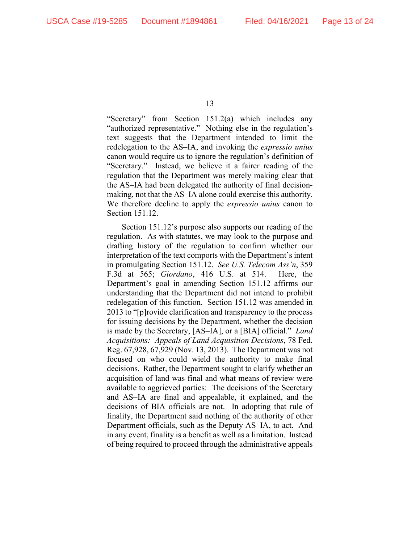"Secretary" from Section 151.2(a) which includes any "authorized representative." Nothing else in the regulation's text suggests that the Department intended to limit the redelegation to the AS–IA, and invoking the *expressio unius*  canon would require us to ignore the regulation's definition of "Secretary." Instead, we believe it a fairer reading of the regulation that the Department was merely making clear that the AS–IA had been delegated the authority of final decisionmaking, not that the AS–IA alone could exercise this authority. We therefore decline to apply the *expressio unius* canon to Section 151.12.

Section 151.12's purpose also supports our reading of the regulation. As with statutes, we may look to the purpose and drafting history of the regulation to confirm whether our interpretation of the text comports with the Department's intent in promulgating Section 151.12. *See U.S. Telecom Ass'n*, 359 F.3d at 565; *Giordano*, 416 U.S. at 514. Here, the Department's goal in amending Section 151.12 affirms our understanding that the Department did not intend to prohibit redelegation of this function. Section 151.12 was amended in 2013 to "[p]rovide clarification and transparency to the process for issuing decisions by the Department, whether the decision is made by the Secretary, [AS–IA], or a [BIA] official." *Land Acquisitions: Appeals of Land Acquisition Decisions*, 78 Fed. Reg. 67,928, 67,929 (Nov. 13, 2013). The Department was not focused on who could wield the authority to make final decisions. Rather, the Department sought to clarify whether an acquisition of land was final and what means of review were available to aggrieved parties: The decisions of the Secretary and AS–IA are final and appealable, it explained, and the decisions of BIA officials are not. In adopting that rule of finality, the Department said nothing of the authority of other Department officials, such as the Deputy AS–IA, to act. And in any event, finality is a benefit as well as a limitation. Instead of being required to proceed through the administrative appeals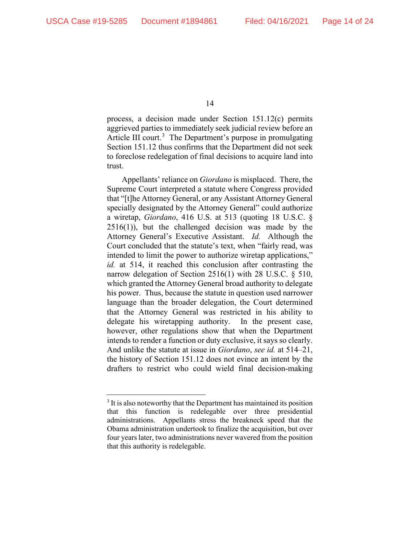process, a decision made under Section 151.12(c) permits aggrieved parties to immediately seek judicial review before an Article III court.<sup>[3](#page-13-0)</sup> The Department's purpose in promulgating Section 151.12 thus confirms that the Department did not seek to foreclose redelegation of final decisions to acquire land into trust.

Appellants' reliance on *Giordano* is misplaced. There, the Supreme Court interpreted a statute where Congress provided that "[t]he Attorney General, or any Assistant Attorney General specially designated by the Attorney General" could authorize a wiretap, *Giordano*, 416 U.S. at 513 (quoting 18 U.S.C. §  $2516(1)$ , but the challenged decision was made by the Attorney General's Executive Assistant. *Id.* Although the Court concluded that the statute's text, when "fairly read, was intended to limit the power to authorize wiretap applications," *id.* at 514, it reached this conclusion after contrasting the narrow delegation of Section 2516(1) with 28 U.S.C. § 510, which granted the Attorney General broad authority to delegate his power. Thus, because the statute in question used narrower language than the broader delegation, the Court determined that the Attorney General was restricted in his ability to delegate his wiretapping authority. In the present case, however, other regulations show that when the Department intends to render a function or duty exclusive, it says so clearly. And unlike the statute at issue in *Giordano*, *see id.* at 514–21, the history of Section 151.12 does not evince an intent by the drafters to restrict who could wield final decision-making

<span id="page-13-0"></span><sup>&</sup>lt;sup>3</sup> It is also noteworthy that the Department has maintained its position that this function is redelegable over three presidential administrations. Appellants stress the breakneck speed that the Obama administration undertook to finalize the acquisition, but over four years later, two administrations never wavered from the position that this authority is redelegable.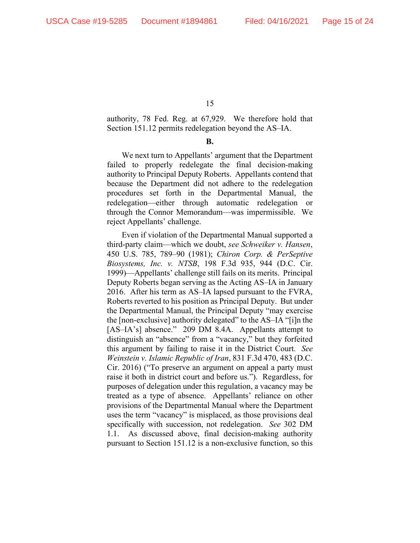authority, 78 Fed. Reg. at 67,929. We therefore hold that Section 151.12 permits redelegation beyond the AS–IA.

**B.**

We next turn to Appellants' argument that the Department failed to properly redelegate the final decision-making authority to Principal Deputy Roberts. Appellants contend that because the Department did not adhere to the redelegation procedures set forth in the Departmental Manual, the redelegation—either through automatic redelegation or through the Connor Memorandum—was impermissible. We reject Appellants' challenge.

Even if violation of the Departmental Manual supported a third-party claim—which we doubt, *see Schweiker v. Hansen*, 450 U.S. 785, 789–90 (1981); *Chiron Corp. & PerSeptive Biosystems, Inc. v. NTSB*, 198 F.3d 935, 944 (D.C. Cir. 1999)—Appellants' challenge still fails on its merits. Principal Deputy Roberts began serving as the Acting AS–IA in January 2016. After his term as AS–IA lapsed pursuant to the FVRA, Roberts reverted to his position as Principal Deputy. But under the Departmental Manual, the Principal Deputy "may exercise the [non-exclusive] authority delegated" to the AS–IA "[i]n the [AS–IA's] absence." 209 DM 8.4A. Appellants attempt to distinguish an "absence" from a "vacancy," but they forfeited this argument by failing to raise it in the District Court. *See Weinstein v. Islamic Republic of Iran*, 831 F.3d 470, 483 (D.C. Cir. 2016) ("To preserve an argument on appeal a party must raise it both in district court and before us."). Regardless, for purposes of delegation under this regulation, a vacancy may be treated as a type of absence. Appellants' reliance on other provisions of the Departmental Manual where the Department uses the term "vacancy" is misplaced, as those provisions deal specifically with succession, not redelegation. *See* 302 DM 1.1. As discussed above, final decision-making authority pursuant to Section 151.12 is a non-exclusive function, so this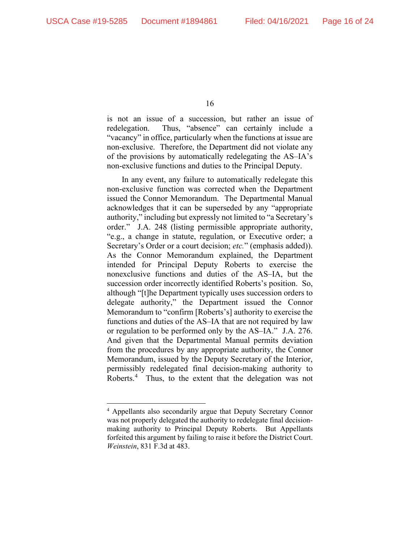is not an issue of a succession, but rather an issue of redelegation. Thus, "absence" can certainly include a "vacancy" in office, particularly when the functions at issue are non-exclusive. Therefore, the Department did not violate any of the provisions by automatically redelegating the AS–IA's non-exclusive functions and duties to the Principal Deputy.

In any event, any failure to automatically redelegate this non-exclusive function was corrected when the Department issued the Connor Memorandum. The Departmental Manual acknowledges that it can be superseded by any "appropriate authority," including but expressly not limited to "a Secretary's order." J.A. 248 (listing permissible appropriate authority, "e.g., a change in statute, regulation, or Executive order; a Secretary's Order or a court decision; *etc.*" (emphasis added)). As the Connor Memorandum explained, the Department intended for Principal Deputy Roberts to exercise the nonexclusive functions and duties of the AS–IA, but the succession order incorrectly identified Roberts's position. So, although "[t]he Department typically uses succession orders to delegate authority," the Department issued the Connor Memorandum to "confirm [Roberts's] authority to exercise the functions and duties of the AS–IA that are not required by law or regulation to be performed only by the AS–IA." J.A. 276. And given that the Departmental Manual permits deviation from the procedures by any appropriate authority, the Connor Memorandum, issued by the Deputy Secretary of the Interior, permissibly redelegated final decision-making authority to Roberts.<sup>[4](#page-15-0)</sup> Thus, to the extent that the delegation was not

<span id="page-15-0"></span><sup>4</sup> Appellants also secondarily argue that Deputy Secretary Connor was not properly delegated the authority to redelegate final decisionmaking authority to Principal Deputy Roberts. But Appellants forfeited this argument by failing to raise it before the District Court. *Weinstein*, 831 F.3d at 483.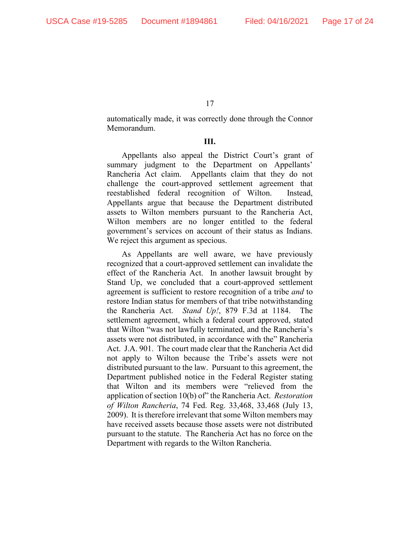automatically made, it was correctly done through the Connor Memorandum.

### **III.**

Appellants also appeal the District Court's grant of summary judgment to the Department on Appellants' Rancheria Act claim. Appellants claim that they do not challenge the court-approved settlement agreement that reestablished federal recognition of Wilton. Instead, Appellants argue that because the Department distributed assets to Wilton members pursuant to the Rancheria Act, Wilton members are no longer entitled to the federal government's services on account of their status as Indians. We reject this argument as specious.

As Appellants are well aware, we have previously recognized that a court-approved settlement can invalidate the effect of the Rancheria Act. In another lawsuit brought by Stand Up, we concluded that a court-approved settlement agreement is sufficient to restore recognition of a tribe *and* to restore Indian status for members of that tribe notwithstanding the Rancheria Act. *Stand Up!*, 879 F.3d at 1184. The settlement agreement, which a federal court approved, stated that Wilton "was not lawfully terminated, and the Rancheria's assets were not distributed, in accordance with the" Rancheria Act. J.A. 901. The court made clear that the Rancheria Act did not apply to Wilton because the Tribe's assets were not distributed pursuant to the law. Pursuant to this agreement, the Department published notice in the Federal Register stating that Wilton and its members were "relieved from the application of section 10(b) of" the Rancheria Act. *Restoration of Wilton Rancheria*, 74 Fed. Reg. 33,468, 33,468 (July 13, 2009). It is therefore irrelevant that some Wilton members may have received assets because those assets were not distributed pursuant to the statute. The Rancheria Act has no force on the Department with regards to the Wilton Rancheria.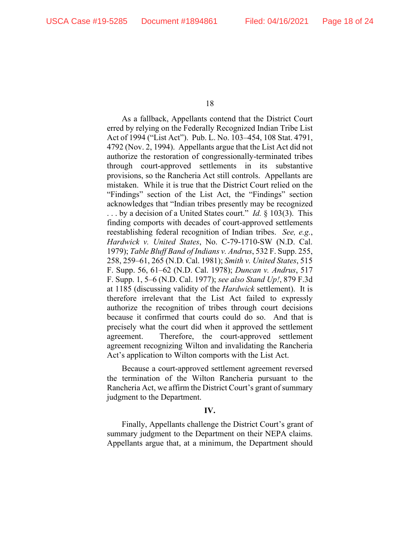As a fallback, Appellants contend that the District Court erred by relying on the Federally Recognized Indian Tribe List Act of 1994 ("List Act"). Pub. L. No. 103–454, 108 Stat. 4791, 4792 (Nov. 2, 1994). Appellants argue that the List Act did not authorize the restoration of congressionally-terminated tribes through court-approved settlements in its substantive provisions, so the Rancheria Act still controls. Appellants are mistaken. While it is true that the District Court relied on the "Findings" section of the List Act, the "Findings" section acknowledges that "Indian tribes presently may be recognized . . . by a decision of a United States court." *Id.* § 103(3). This finding comports with decades of court-approved settlements reestablishing federal recognition of Indian tribes. *See, e.g.*, *Hardwick v. United States*, No. C-79-1710-SW (N.D. Cal. 1979); *Table Bluff Band of Indians v. Andrus*, 532 F. Supp. 255, 258, 259–61, 265 (N.D. Cal. 1981); *Smith v. United States*, 515 F. Supp. 56, 61–62 (N.D. Cal. 1978); *Duncan v. Andrus*, 517 F. Supp. 1, 5–6 (N.D. Cal. 1977); *see also Stand Up!*, 879 F.3d at 1185 (discussing validity of the *Hardwick* settlement). It is therefore irrelevant that the List Act failed to expressly authorize the recognition of tribes through court decisions because it confirmed that courts could do so. And that is precisely what the court did when it approved the settlement agreement. Therefore, the court-approved settlement agreement recognizing Wilton and invalidating the Rancheria Act's application to Wilton comports with the List Act.

Because a court-approved settlement agreement reversed the termination of the Wilton Rancheria pursuant to the Rancheria Act, we affirm the District Court's grant of summary judgment to the Department.

### **IV.**

Finally, Appellants challenge the District Court's grant of summary judgment to the Department on their NEPA claims. Appellants argue that, at a minimum, the Department should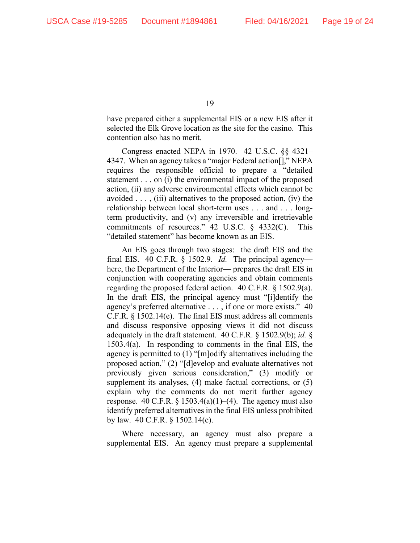have prepared either a supplemental EIS or a new EIS after it selected the Elk Grove location as the site for the casino. This contention also has no merit.

Congress enacted NEPA in 1970. 42 U.S.C. §§ 4321– 4347. When an agency takes a "major Federal action[]," NEPA requires the responsible official to prepare a "detailed statement . . . on (i) the environmental impact of the proposed action, (ii) any adverse environmental effects which cannot be avoided . . . , (iii) alternatives to the proposed action, (iv) the relationship between local short-term uses . . . and . . . longterm productivity, and (v) any irreversible and irretrievable commitments of resources." 42 U.S.C. § 4332(C). This "detailed statement" has become known as an EIS.

An EIS goes through two stages: the draft EIS and the final EIS. 40 C.F.R. § 1502.9. *Id.* The principal agency here, the Department of the Interior— prepares the draft EIS in conjunction with cooperating agencies and obtain comments regarding the proposed federal action. 40 C.F.R. § 1502.9(a). In the draft EIS, the principal agency must "[i]dentify the agency's preferred alternative . . . , if one or more exists." 40 C.F.R. § 1502.14(e). The final EIS must address all comments and discuss responsive opposing views it did not discuss adequately in the draft statement. 40 C.F.R. § 1502.9(b); *id.* § 1503.4(a). In responding to comments in the final EIS, the agency is permitted to (1) "[m]odify alternatives including the proposed action," (2) "[d]evelop and evaluate alternatives not previously given serious consideration," (3) modify or supplement its analyses, (4) make factual corrections, or (5) explain why the comments do not merit further agency response. 40 C.F.R.  $\S 1503.4(a)(1)–(4)$ . The agency must also identify preferred alternatives in the final EIS unless prohibited by law. 40 C.F.R. § 1502.14(e).

Where necessary, an agency must also prepare a supplemental EIS. An agency must prepare a supplemental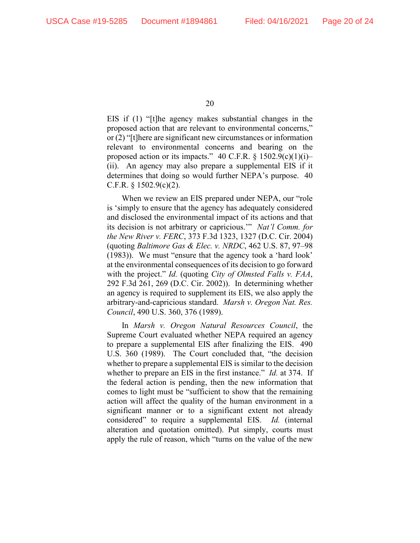EIS if (1) "[t]he agency makes substantial changes in the proposed action that are relevant to environmental concerns," or (2) "[t]here are significant new circumstances or information relevant to environmental concerns and bearing on the proposed action or its impacts." 40 C.F.R.  $\S$  1502.9(c)(1)(i)– (ii). An agency may also prepare a supplemental EIS if it determines that doing so would further NEPA's purpose. 40 C.F.R.  $\S$  1502.9(c)(2).

When we review an EIS prepared under NEPA, our "role is 'simply to ensure that the agency has adequately considered and disclosed the environmental impact of its actions and that its decision is not arbitrary or capricious.'" *Nat'l Comm. for the New River v. FERC*, 373 F.3d 1323, 1327 (D.C. Cir. 2004) (quoting *Baltimore Gas & Elec. v. NRDC*, 462 U.S. 87, 97–98 (1983)). We must "ensure that the agency took a 'hard look' at the environmental consequences of its decision to go forward with the project." *Id.* (quoting *City of Olmsted Falls v. FAA*, 292 F.3d 261, 269 (D.C. Cir. 2002)). In determining whether an agency is required to supplement its EIS, we also apply the arbitrary-and-capricious standard. *Marsh v. Oregon Nat. Res. Council*, 490 U.S. 360, 376 (1989).

In *Marsh v. Oregon Natural Resources Council*, the Supreme Court evaluated whether NEPA required an agency to prepare a supplemental EIS after finalizing the EIS. 490 U.S. 360 (1989). The Court concluded that, "the decision whether to prepare a supplemental EIS is similar to the decision whether to prepare an EIS in the first instance." *Id.* at 374. If the federal action is pending, then the new information that comes to light must be "sufficient to show that the remaining action will affect the quality of the human environment in a significant manner or to a significant extent not already considered" to require a supplemental EIS. *Id.* (internal alteration and quotation omitted). Put simply, courts must apply the rule of reason, which "turns on the value of the new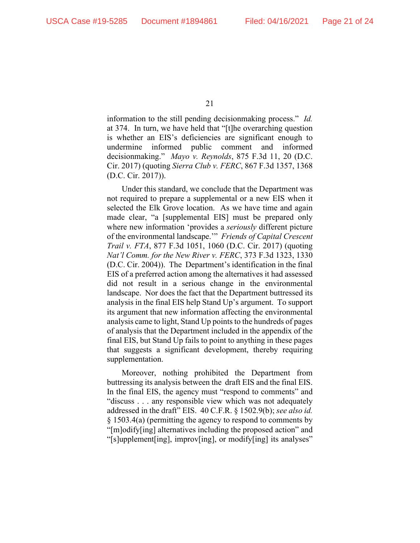information to the still pending decisionmaking process." *Id.*  at 374. In turn, we have held that "[t]he overarching question is whether an EIS's deficiencies are significant enough to undermine informed public comment and informed decisionmaking." *Mayo v. Reynolds*, 875 F.3d 11, 20 (D.C. Cir. 2017) (quoting *Sierra Club v. FERC*, 867 F.3d 1357, 1368 (D.C. Cir. 2017)).

Under this standard, we conclude that the Department was not required to prepare a supplemental or a new EIS when it selected the Elk Grove location. As we have time and again made clear, "a [supplemental EIS] must be prepared only where new information 'provides a *seriously* different picture of the environmental landscape.'" *Friends of Capital Crescent Trail v. FTA*, 877 F.3d 1051, 1060 (D.C. Cir. 2017) (quoting *Nat'l Comm. for the New River v. FERC*, 373 F.3d 1323, 1330 (D.C. Cir. 2004)). The Department's identification in the final EIS of a preferred action among the alternatives it had assessed did not result in a serious change in the environmental landscape. Nor does the fact that the Department buttressed its analysis in the final EIS help Stand Up's argument. To support its argument that new information affecting the environmental analysis came to light, Stand Up points to the hundreds of pages of analysis that the Department included in the appendix of the final EIS, but Stand Up fails to point to anything in these pages that suggests a significant development, thereby requiring supplementation.

Moreover, nothing prohibited the Department from buttressing its analysis between the draft EIS and the final EIS. In the final EIS, the agency must "respond to comments" and "discuss . . . any responsible view which was not adequately addressed in the draft" EIS. 40 C.F.R. § 1502.9(b); *see also id.*  § 1503.4(a) (permitting the agency to respond to comments by "[m]odify[ing] alternatives including the proposed action" and "[s]upplement[ing], improv[ing], or modify[ing] its analyses"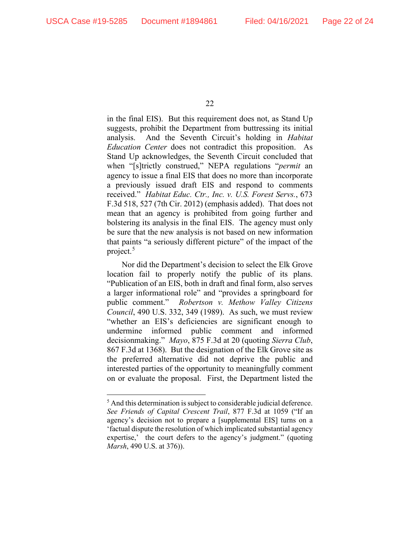in the final EIS). But this requirement does not, as Stand Up suggests, prohibit the Department from buttressing its initial analysis. And the Seventh Circuit's holding in *Habitat Education Center* does not contradict this proposition. As Stand Up acknowledges, the Seventh Circuit concluded that when "[s]trictly construed," NEPA regulations "*permit* an agency to issue a final EIS that does no more than incorporate a previously issued draft EIS and respond to comments received." *Habitat Educ. Ctr., Inc. v. U.S. Forest Servs.*, 673 F.3d 518, 527 (7th Cir. 2012) (emphasis added). That does not mean that an agency is prohibited from going further and bolstering its analysis in the final EIS. The agency must only be sure that the new analysis is not based on new information that paints "a seriously different picture" of the impact of the project.<sup>[5](#page-21-0)</sup>

Nor did the Department's decision to select the Elk Grove location fail to properly notify the public of its plans. "Publication of an EIS, both in draft and final form, also serves a larger informational role" and "provides a springboard for public comment." *Robertson v. Methow Valley Citizens Council*, 490 U.S. 332, 349 (1989). As such, we must review "whether an EIS's deficiencies are significant enough to undermine informed public comment and informed decisionmaking." *Mayo*, 875 F.3d at 20 (quoting *Sierra Club*, 867 F.3d at 1368). But the designation of the Elk Grove site as the preferred alternative did not deprive the public and interested parties of the opportunity to meaningfully comment on or evaluate the proposal. First, the Department listed the

<span id="page-21-0"></span><sup>&</sup>lt;sup>5</sup> And this determination is subject to considerable judicial deference. *See Friends of Capital Crescent Trail*, 877 F.3d at 1059 ("If an agency's decision not to prepare a [supplemental EIS] turns on a 'factual dispute the resolution of which implicated substantial agency expertise,' the court defers to the agency's judgment." (quoting *Marsh*, 490 U.S. at 376)).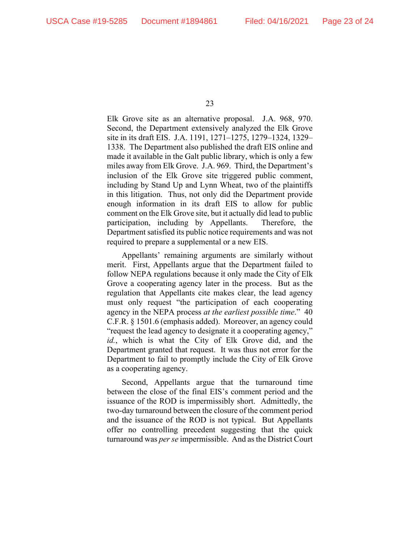Elk Grove site as an alternative proposal. J.A. 968, 970. Second, the Department extensively analyzed the Elk Grove site in its draft EIS. J.A. 1191, 1271–1275, 1279–1324, 1329– 1338. The Department also published the draft EIS online and made it available in the Galt public library, which is only a few miles away from Elk Grove. J.A. 969. Third, the Department's inclusion of the Elk Grove site triggered public comment, including by Stand Up and Lynn Wheat, two of the plaintiffs in this litigation. Thus, not only did the Department provide enough information in its draft EIS to allow for public comment on the Elk Grove site, but it actually did lead to public participation, including by Appellants. Therefore, the Department satisfied its public notice requirements and was not required to prepare a supplemental or a new EIS.

Appellants' remaining arguments are similarly without merit. First, Appellants argue that the Department failed to follow NEPA regulations because it only made the City of Elk Grove a cooperating agency later in the process. But as the regulation that Appellants cite makes clear, the lead agency must only request "the participation of each cooperating agency in the NEPA process *at the earliest possible time*." 40 C.F.R. § 1501.6 (emphasis added). Moreover, an agency could "request the lead agency to designate it a cooperating agency," *id.*, which is what the City of Elk Grove did, and the Department granted that request. It was thus not error for the Department to fail to promptly include the City of Elk Grove as a cooperating agency.

Second, Appellants argue that the turnaround time between the close of the final EIS's comment period and the issuance of the ROD is impermissibly short. Admittedly, the two-day turnaround between the closure of the comment period and the issuance of the ROD is not typical. But Appellants offer no controlling precedent suggesting that the quick turnaround was *per se* impermissible. And as the District Court